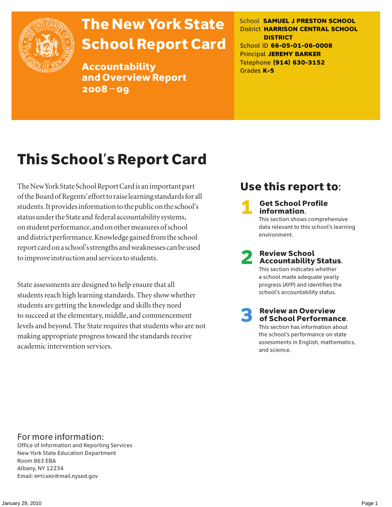

# The New York State School Report Card

Accountability and Overview Report 2008–09

School **SAMUEL J PRESTON SCHOOL** District **HARRISON CENTRAL SCHOOL DISTRICT** School ID **66-05-01-06-0008** Principal **JEREMY BARKER** Telephone **(914) 630-3152** Grades **K-5**

# This School's Report Card

The New York State School Report Card is an important part of the Board of Regents' effort to raise learning standards for all students. It provides information to the public on the school's status under the State and federal accountability systems, on student performance, and on other measures of school and district performance. Knowledge gained from the school report card on a school's strengths and weaknesses can be used to improve instruction and services to students.

State assessments are designed to help ensure that all students reach high learning standards. They show whether students are getting the knowledge and skills they need to succeed at the elementary, middle, and commencement levels and beyond. The State requires that students who are not making appropriate progress toward the standards receive academic intervention services.

### Use this report to:

**Get School Profile** information. This section shows comprehensive data relevant to this school's learning environment.

2 Review School Accountability Status.

This section indicates whether a school made adequate yearly progress (AYP) and identifies the school's accountability status.

3 Review an Overview of School Performance. This section has information about the school's performance on state assessments in English, mathematics,

and science.

### For more information:

Office of Information and Reporting Services New York State Education Department Room 863 EBA Albany, NY 12234 Email: RPTCARD@mail.nysed.gov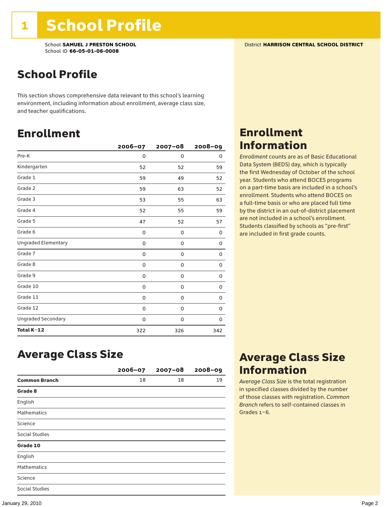School **SAMUEL J PRESTON SCHOOL** District **HARRISON CENTRAL SCHOOL DISTRICT** School ID **66-05-01-06-0008**

### School Profile

This section shows comprehensive data relevant to this school's learning environment, including information about enrollment, average class size, and teacher qualifications.

### Enrollment

|                            | 2006-07 | $2007 - 08$ | $2008 - 09$ |
|----------------------------|---------|-------------|-------------|
| Pre-K                      | 0       | 0           | 0           |
| Kindergarten               | 52      | 52          | 59          |
| Grade 1                    | 59      | 49          | 52          |
| Grade 2                    | 59      | 63          | 52          |
| Grade 3                    | 53      | 55          | 63          |
| Grade 4                    | 52      | 55          | 59          |
| Grade 5                    | 47      | 52          | 57          |
| Grade 6                    | 0       | 0           | 0           |
| <b>Ungraded Elementary</b> | 0       | $\mathbf 0$ | 0           |
| Grade 7                    | 0       | $\mathbf 0$ | 0           |
| Grade 8                    | 0       | 0           | 0           |
| Grade 9                    | 0       | 0           | 0           |
| Grade 10                   | 0       | 0           | 0           |
| Grade 11                   | 0       | 0           | 0           |
| Grade 12                   | 0       | 0           | 0           |
| <b>Ungraded Secondary</b>  | 0       | 0           | 0           |
| Total K-12                 | 322     | 326         | 342         |

### Enrollment Information

*Enrollment* counts are as of Basic Educational Data System (BEDS) day, which is typically the first Wednesday of October of the school year. Students who attend BOCES programs on a part-time basis are included in a school's enrollment. Students who attend BOCES on a full-time basis or who are placed full time by the district in an out-of-district placement are not included in a school's enrollment. Students classified by schools as "pre-first" are included in first grade counts.

### Average Class Size

|                       | $2006 - 07$ | $2007 - 08$ | $2008 - 09$ |
|-----------------------|-------------|-------------|-------------|
| <b>Common Branch</b>  | 18          | 18          | 19          |
| Grade 8               |             |             |             |
| English               |             |             |             |
| <b>Mathematics</b>    |             |             |             |
| Science               |             |             |             |
| Social Studies        |             |             |             |
| Grade 10              |             |             |             |
| English               |             |             |             |
| <b>Mathematics</b>    |             |             |             |
| Science               |             |             |             |
| <b>Social Studies</b> |             |             |             |

### Average Class Size Information

*Average Class Size* is the total registration in specified classes divided by the number of those classes with registration. *Common Branch* refers to self-contained classes in Grades 1–6.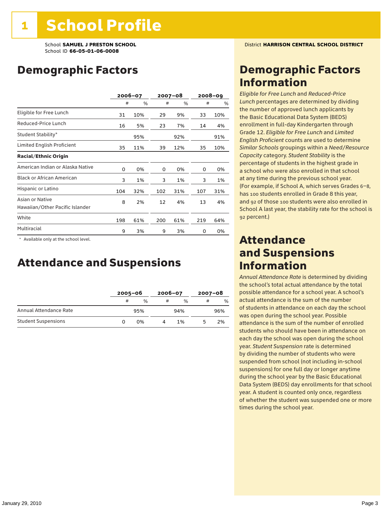### Demographic Factors

|                                                    | 2006-07 |     | $2007 - 08$ |     |     | $2008 - 09$ |
|----------------------------------------------------|---------|-----|-------------|-----|-----|-------------|
|                                                    | #       | %   | #           | %   | #   | $\%$        |
| Eligible for Free Lunch                            | 31      | 10% | 29          | 9%  | 33  | 10%         |
| Reduced-Price Lunch                                | 16      | 5%  | 23          | 7%  | 14  | 4%          |
| Student Stability*                                 |         | 95% |             | 92% |     | 91%         |
| Limited English Proficient                         | 35      | 11% | 39          | 12% | 35  | 10%         |
| <b>Racial/Ethnic Origin</b>                        |         |     |             |     |     |             |
| American Indian or Alaska Native                   | 0       | 0%  | 0           | 0%  | 0   | 0%          |
| <b>Black or African American</b>                   | 3       | 1%  | 3           | 1%  | 3   | 1%          |
| Hispanic or Latino                                 | 104     | 32% | 102         | 31% | 107 | 31%         |
| Asian or Native<br>Hawaiian/Other Pacific Islander | 8       | 2%  | 12          | 4%  | 13  | 4%          |
| White                                              | 198     | 61% | 200         | 61% | 219 | 64%         |
| Multiracial                                        | 9       | 3%  | 9           | 3%  | 0   | 0%          |

\* Available only at the school level.

### Attendance and Suspensions

|                            |   | $2005 - 06$ |   | $2006 - 07$   |   | $2007 - 08$   |  |
|----------------------------|---|-------------|---|---------------|---|---------------|--|
|                            | # | %           | # | $\frac{0}{6}$ | # | $\frac{0}{0}$ |  |
| Annual Attendance Rate     |   | 95%         |   | 94%           |   | 96%           |  |
| <b>Student Suspensions</b> |   | በ%          |   | 1%            |   | 2%            |  |

### Demographic Factors Information

*Eligible for Free Lunch* and *Reduced*-*Price Lunch* percentages are determined by dividing the number of approved lunch applicants by the Basic Educational Data System (BEDS) enrollment in full-day Kindergarten through Grade 12. *Eligible for Free Lunch* and *Limited English Proficient* counts are used to determine *Similar Schools* groupings within a *Need*/*Resource Capacity* category. *Student Stability* is the percentage of students in the highest grade in a school who were also enrolled in that school at any time during the previous school year. (For example, if School A, which serves Grades 6–8, has 100 students enrolled in Grade 8 this year, and 92 of those 100 students were also enrolled in School A last year, the stability rate for the school is 92 percent.)

### Attendance and Suspensions Information

*Annual Attendance Rate* is determined by dividing the school's total actual attendance by the total possible attendance for a school year. A school's actual attendance is the sum of the number of students in attendance on each day the school was open during the school year. Possible attendance is the sum of the number of enrolled students who should have been in attendance on each day the school was open during the school year. *Student Suspension* rate is determined by dividing the number of students who were suspended from school (not including in-school suspensions) for one full day or longer anytime during the school year by the Basic Educational Data System (BEDS) day enrollments for that school year. A student is counted only once, regardless of whether the student was suspended one or more times during the school year.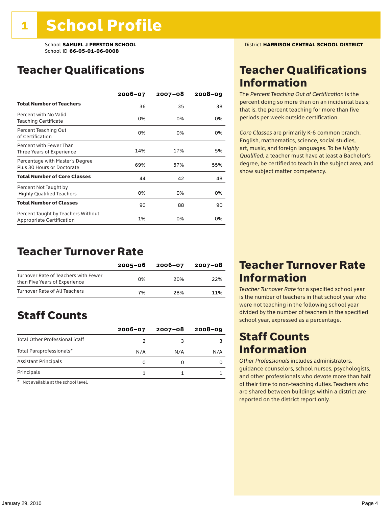### Teacher Qualifications

|                                                                 | $2006 - 07$ | $2007 - 08$ | $2008 - 09$ |
|-----------------------------------------------------------------|-------------|-------------|-------------|
| <b>Total Number of Teachers</b>                                 | 36          | 35          | 38          |
| Percent with No Valid<br><b>Teaching Certificate</b>            | 0%          | 0%          | 0%          |
| Percent Teaching Out<br>of Certification                        | 0%          | 0%          | 0%          |
| Percent with Fewer Than<br>Three Years of Experience            | 14%         | 17%         | 5%          |
| Percentage with Master's Degree<br>Plus 30 Hours or Doctorate   | 69%         | 57%         | 55%         |
| <b>Total Number of Core Classes</b>                             | 44          | 42          | 48          |
| Percent Not Taught by<br><b>Highly Qualified Teachers</b>       | 0%          | 0%          | 0%          |
| <b>Total Number of Classes</b>                                  | 90          | 88          | 90          |
| Percent Taught by Teachers Without<br>Appropriate Certification | 1%          | 0%          | 0%          |

### Teacher Turnover Rate

|                                                                       | 2005-06 | 2006-07 | 2007-08 |
|-----------------------------------------------------------------------|---------|---------|---------|
| Turnover Rate of Teachers with Fewer<br>than Five Years of Experience | በ%      | 20%     | 22%     |
| Turnover Rate of All Teachers                                         | 7%      | 28%     | 11%     |

### Staff Counts

|                                       | $2006 - 07$ | $2007 - 08$ | $2008 - 09$ |
|---------------------------------------|-------------|-------------|-------------|
| <b>Total Other Professional Staff</b> |             |             |             |
| Total Paraprofessionals*              | N/A         | N/A         | N/A         |
| <b>Assistant Principals</b>           |             |             |             |
| Principals                            |             |             |             |

\* Not available at the school level.

### Teacher Qualifications Information

The *Percent Teaching Out of Certification* is the percent doing so more than on an incidental basis; that is, the percent teaching for more than five periods per week outside certification.

*Core Classes* are primarily K-6 common branch, English, mathematics, science, social studies, art, music, and foreign languages. To be *Highly Qualified*, a teacher must have at least a Bachelor's degree, be certified to teach in the subject area, and show subject matter competency.

### Teacher Turnover Rate Information

*Teacher Turnover Rate* for a specified school year is the number of teachers in that school year who were not teaching in the following school year divided by the number of teachers in the specified school year, expressed as a percentage.

### Staff Counts **Information**

*Other Professionals* includes administrators, guidance counselors, school nurses, psychologists, and other professionals who devote more than half of their time to non-teaching duties. Teachers who are shared between buildings within a district are reported on the district report only.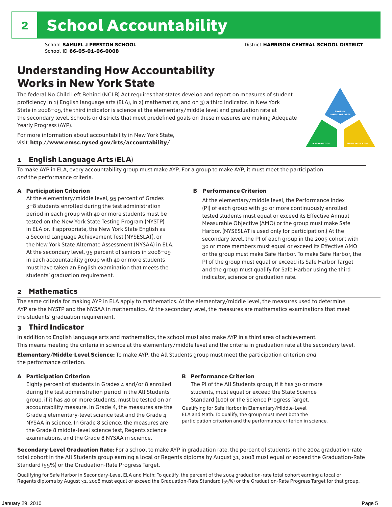### Understanding How Accountability Works in New York State

The federal No Child Left Behind (NCLB) Act requires that states develop and report on measures of student proficiency in 1) English language arts (ELA), in 2) mathematics, and on 3) a third indicator. In New York State in 2008–09, the third indicator is science at the elementary/middle level and graduation rate at the secondary level. Schools or districts that meet predefined goals on these measures are making Adequate Yearly Progress (AYP).



For more information about accountability in New York State, visit: http://www.emsc.nysed.gov/irts/accountability/

#### 1 English Language Arts (ELA)

To make AYP in ELA, every accountability group must make AYP. For a group to make AYP, it must meet the participation *and* the performance criteria.

#### A Participation Criterion

At the elementary/middle level, 95 percent of Grades 3–8 students enrolled during the test administration period in each group with 40 or more students must be tested on the New York State Testing Program (NYSTP) in ELA or, if appropriate, the New York State English as a Second Language Achievement Test (NYSESLAT), or the New York State Alternate Assessment (NYSAA) in ELA. At the secondary level, 95 percent of seniors in 2008–09 in each accountability group with 40 or more students must have taken an English examination that meets the students' graduation requirement.

#### B Performance Criterion

At the elementary/middle level, the Performance Index (PI) of each group with 30 or more continuously enrolled tested students must equal or exceed its Effective Annual Measurable Objective (AMO) or the group must make Safe Harbor. (NYSESLAT is used only for participation.) At the secondary level, the PI of each group in the 2005 cohort with 30 or more members must equal or exceed its Effective AMO or the group must make Safe Harbor. To make Safe Harbor, the PI of the group must equal or exceed its Safe Harbor Target and the group must qualify for Safe Harbor using the third indicator, science or graduation rate.

#### 2 Mathematics

The same criteria for making AYP in ELA apply to mathematics. At the elementary/middle level, the measures used to determine AYP are the NYSTP and the NYSAA in mathematics. At the secondary level, the measures are mathematics examinations that meet the students' graduation requirement.

#### 3 Third Indicator

In addition to English language arts and mathematics, the school must also make AYP in a third area of achievement. This means meeting the criteria in science at the elementary/middle level and the criteria in graduation rate at the secondary level.

Elementary/Middle-Level Science: To make AYP, the All Students group must meet the participation criterion *and* the performance criterion.

#### A Participation Criterion

Eighty percent of students in Grades 4 and/or 8 enrolled during the test administration period in the All Students group, if it has 40 or more students, must be tested on an accountability measure. In Grade 4, the measures are the Grade 4 elementary-level science test and the Grade 4 NYSAA in science. In Grade 8 science, the measures are the Grade 8 middle-level science test, Regents science examinations, and the Grade 8 NYSAA in science.

#### B Performance Criterion

The PI of the All Students group, if it has 30 or more students, must equal or exceed the State Science Standard (100) or the Science Progress Target.

Qualifying for Safe Harbor in Elementary/Middle-Level ELA and Math: To qualify, the group must meet both the participation criterion and the performance criterion in science.

Secondary-Level Graduation Rate: For a school to make AYP in graduation rate, the percent of students in the 2004 graduation-rate total cohort in the All Students group earning a local or Regents diploma by August 31, 2008 must equal or exceed the Graduation-Rate Standard (55%) or the Graduation-Rate Progress Target.

Qualifying for Safe Harbor in Secondary-Level ELA and Math: To qualify, the percent of the 2004 graduation-rate total cohort earning a local or Regents diploma by August 31, 2008 must equal or exceed the Graduation-Rate Standard (55%) or the Graduation-Rate Progress Target for that group.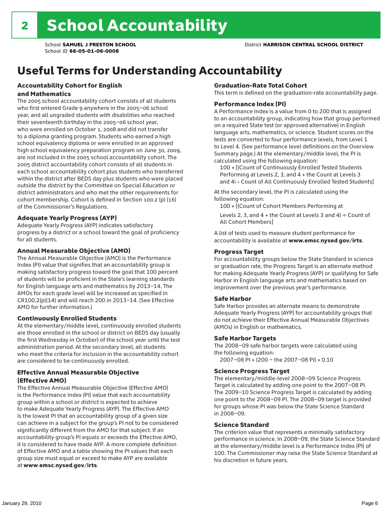# Useful Terms for Understanding Accountability

#### Accountability Cohort for English and Mathematics

The 2005 school accountability cohort consists of all students who first entered Grade 9 anywhere in the 2005–06 school year, and all ungraded students with disabilities who reached their seventeenth birthday in the 2005–06 school year, who were enrolled on October 1, 2008 and did not transfer to a diploma granting program. Students who earned a high school equivalency diploma or were enrolled in an approved high school equivalency preparation program on June 30, 2009, are not included in the 2005 school accountability cohort. The 2005 district accountability cohort consists of all students in each school accountability cohort plus students who transferred within the district after BEDS day plus students who were placed outside the district by the Committee on Special Education or district administrators and who met the other requirements for cohort membership. Cohort is defined in Section 100.2 (p) (16) of the Commissioner's Regulations.

#### Adequate Yearly Progress (AYP)

Adequate Yearly Progress (AYP) indicates satisfactory progress by a district or a school toward the goal of proficiency for all students.

#### Annual Measurable Objective (AMO)

The Annual Measurable Objective (AMO) is the Performance Index (PI) value that signifies that an accountability group is making satisfactory progress toward the goal that 100 percent of students will be proficient in the State's learning standards for English language arts and mathematics by 2013–14. The AMOs for each grade level will be increased as specified in CR100.2(p)(14) and will reach 200 in 2013–14. (See Effective AMO for further information.)

#### Continuously Enrolled Students

At the elementary/middle level, continuously enrolled students are those enrolled in the school or district on BEDS day (usually the first Wednesday in October) of the school year until the test administration period. At the secondary level, all students who meet the criteria for inclusion in the accountability cohort are considered to be continuously enrolled.

#### Effective Annual Measurable Objective (Effective AMO)

The Effective Annual Measurable Objective (Effective AMO) is the Performance Index (PI) value that each accountability group within a school or district is expected to achieve to make Adequate Yearly Progress (AYP). The Effective AMO is the lowest PI that an accountability group of a given size can achieve in a subject for the group's PI not to be considered significantly different from the AMO for that subject. If an accountability group's PI equals or exceeds the Effective AMO, it is considered to have made AYP. A more complete definition of Effective AMO and a table showing the PI values that each group size must equal or exceed to make AYP are available at www.emsc.nysed.gov/irts.

#### Graduation-Rate Total Cohort

This term is defined on the graduation-rate accountability page.

#### Performance Index (PI)

A Performance Index is a value from 0 to 200 that is assigned to an accountability group, indicating how that group performed on a required State test (or approved alternative) in English language arts, mathematics, or science. Student scores on the tests are converted to four performance levels, from Level 1 to Level 4. (See performance level definitions on the Overview Summary page.) At the elementary/middle level, the PI is calculated using the following equation:

100 × [(Count of Continuously Enrolled Tested Students Performing at Levels 2, 3, and 4 + the Count at Levels 3 and 4) ÷ Count of All Continuously Enrolled Tested Students]

At the secondary level, the PI is calculated using the following equation:

100 × [(Count of Cohort Members Performing at

Levels 2, 3, and 4 + the Count at Levels 3 and 4)  $\div$  Count of All Cohort Members]

A list of tests used to measure student performance for accountability is available at www.emsc.nysed.gov/irts.

#### Progress Target

For accountability groups below the State Standard in science or graduation rate, the Progress Target is an alternate method for making Adequate Yearly Progress (AYP) or qualifying for Safe Harbor in English language arts and mathematics based on improvement over the previous year's performance.

#### Safe Harbor

Safe Harbor provides an alternate means to demonstrate Adequate Yearly Progress (AYP) for accountability groups that do not achieve their Effective Annual Measurable Objectives (AMOs) in English or mathematics.

#### Safe Harbor Targets

The 2008–09 safe harbor targets were calculated using the following equation:

2007–08 PI + (200 – the 2007–08 PI) × 0.10

#### Science Progress Target

The elementary/middle-level 2008–09 Science Progress Target is calculated by adding one point to the 2007–08 PI. The 2009–10 Science Progress Target is calculated by adding one point to the 2008–09 PI. The 2008–09 target is provided for groups whose PI was below the State Science Standard in 2008–09.

#### Science Standard

The criterion value that represents a minimally satisfactory performance in science. In 2008–09, the State Science Standard at the elementary/middle level is a Performance Index (PI) of 100. The Commissioner may raise the State Science Standard at his discretion in future years.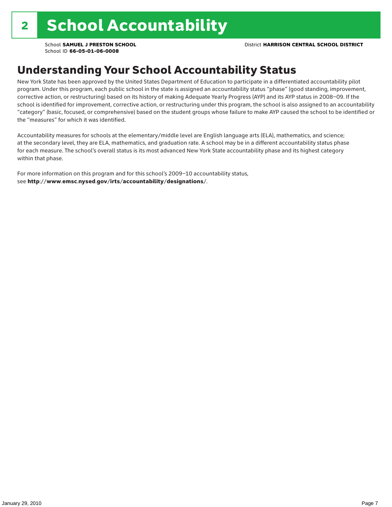### Understanding Your School Accountability Status

New York State has been approved by the United States Department of Education to participate in a differentiated accountability pilot program. Under this program, each public school in the state is assigned an accountability status "phase" (good standing, improvement, corrective action, or restructuring) based on its history of making Adequate Yearly Progress (AYP) and its AYP status in 2008–09. If the school is identified for improvement, corrective action, or restructuring under this program, the school is also assigned to an accountability "category" (basic, focused, or comprehensive) based on the student groups whose failure to make AYP caused the school to be identified or the "measures" for which it was identified.

Accountability measures for schools at the elementary/middle level are English language arts (ELA), mathematics, and science; at the secondary level, they are ELA, mathematics, and graduation rate. A school may be in a different accountability status phase for each measure. The school's overall status is its most advanced New York State accountability phase and its highest category within that phase.

For more information on this program and for this school's 2009–10 accountability status, see http://www.emsc.nysed.gov/irts/accountability/designations/.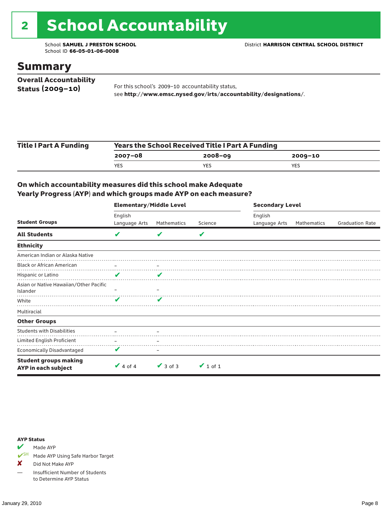# 2 School Accountability

School ID **66-05-01-06-0008**

### Summary

| <b>Overall Accountability</b> |                                                                  |
|-------------------------------|------------------------------------------------------------------|
| Status $(2009 - 10)$          | For this school's 2009-10 accountability status,                 |
|                               | see http://www.emsc.nysed.gov/irts/accountability/designations/. |

| <b>Title I Part A Funding</b> | <b>Years the School Received Title I Part A Funding</b> |             |         |  |  |  |
|-------------------------------|---------------------------------------------------------|-------------|---------|--|--|--|
|                               | 2007-08                                                 | $2008 - 09$ | 2009-10 |  |  |  |
|                               | <b>YES</b>                                              | YES         | YES     |  |  |  |

#### On which accountability measures did this school make Adequate Yearly Progress (AYP) and which groups made AYP on each measure?

|                                                     | <b>Elementary/Middle Level</b> |               |               |               | <b>Secondary Level</b> |                        |  |  |
|-----------------------------------------------------|--------------------------------|---------------|---------------|---------------|------------------------|------------------------|--|--|
|                                                     | English                        |               |               | English       |                        |                        |  |  |
| <b>Student Groups</b>                               | Language Arts                  | Mathematics   | Science       | Language Arts | Mathematics            | <b>Graduation Rate</b> |  |  |
| <b>All Students</b>                                 | V                              | v             | V             |               |                        |                        |  |  |
| <b>Ethnicity</b>                                    |                                |               |               |               |                        |                        |  |  |
| American Indian or Alaska Native                    |                                |               |               |               |                        |                        |  |  |
| <b>Black or African American</b>                    |                                |               |               |               |                        |                        |  |  |
| Hispanic or Latino                                  | V                              | v             |               |               |                        |                        |  |  |
| Asian or Native Hawaiian/Other Pacific<br>Islander  |                                |               |               |               |                        |                        |  |  |
| White                                               | v                              | v             |               |               |                        |                        |  |  |
| Multiracial                                         |                                |               |               |               |                        |                        |  |  |
| <b>Other Groups</b>                                 |                                |               |               |               |                        |                        |  |  |
| <b>Students with Disabilities</b>                   |                                |               |               |               |                        |                        |  |  |
| Limited English Proficient                          |                                |               |               |               |                        |                        |  |  |
| <b>Economically Disadvantaged</b>                   | V                              |               |               |               |                        |                        |  |  |
| <b>Student groups making</b><br>AYP in each subject | $\vee$ 4 of 4                  | $\vee$ 3 of 3 | $\vee$ 1 of 1 |               |                        |                        |  |  |

#### AYP Status

Made AYP

✔SH Made AYP Using Safe Harbor Target

✘ Did Not Make AYP

— Insufficient Number of Students to Determine AYP Status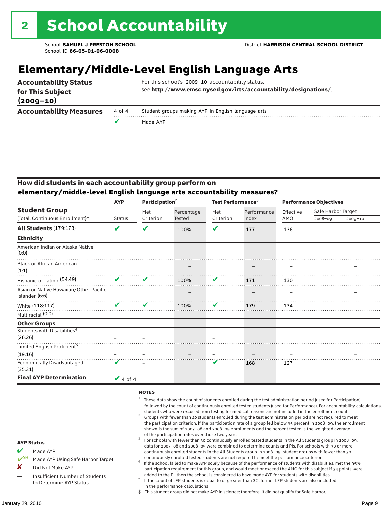# **Elementary/Middle-Level English Language Arts**

| <b>Accountability Status</b><br>for This Subject<br>$(2009 - 10)$ |        | For this school's 2009-10 accountability status,<br>see http://www.emsc.nysed.gov/irts/accountability/designations/. |
|-------------------------------------------------------------------|--------|----------------------------------------------------------------------------------------------------------------------|
| <b>Accountability Measures</b>                                    | 4 of 4 | Student groups making AYP in English language arts                                                                   |
|                                                                   | v      | Made AYP                                                                                                             |

#### How did students in each accountability group perform on **elementary/middle-level English language arts accountability measures?**

|                                                          | <b>AYP</b>                 | Participation <sup>2</sup> |            | Test Performance <sup>3</sup> |             | <b>Performance Objectives</b> |                    |             |
|----------------------------------------------------------|----------------------------|----------------------------|------------|-------------------------------|-------------|-------------------------------|--------------------|-------------|
| <b>Student Group</b>                                     |                            | Met                        | Percentage | Met                           | Performance | Effective                     | Safe Harbor Target |             |
| (Total: Continuous Enrollment) <sup>1</sup>              | <b>Status</b>              | Criterion                  | Tested     | Criterion                     | Index       | AMO                           | 2008-09            | $2009 - 10$ |
| All Students (179:173)                                   | V                          | V                          | 100%       | V                             | 177         | 136                           |                    |             |
| <b>Ethnicity</b>                                         |                            |                            |            |                               |             |                               |                    |             |
| American Indian or Alaska Native<br>(0:0)                |                            |                            |            |                               |             |                               |                    |             |
| <b>Black or African American</b><br>(1:1)                |                            |                            |            |                               |             |                               |                    |             |
| Hispanic or Latino <sup>(54:49)</sup>                    | $\mathbf v$                | V                          | 100%       | V                             | 171         | 130                           |                    |             |
| Asian or Native Hawaiian/Other Pacific<br>Islander (6:6) |                            |                            |            |                               |             |                               |                    |             |
| White (118:117)                                          | $\boldsymbol{\mathcal{U}}$ | V                          | 100%       | V                             | 179         | 134                           |                    |             |
| Multiracial (0:0)                                        |                            |                            |            |                               |             |                               |                    |             |
| <b>Other Groups</b>                                      |                            |                            |            |                               |             |                               |                    |             |
| Students with Disabilities <sup>4</sup>                  |                            |                            |            |                               |             |                               |                    |             |
| (26:26)                                                  |                            |                            |            |                               |             |                               |                    |             |
| Limited English Proficient <sup>5</sup>                  |                            |                            |            |                               |             |                               |                    |             |
| (19:16)                                                  |                            |                            |            |                               |             |                               |                    |             |
| <b>Economically Disadvantaged</b><br>(35:31)             | $\boldsymbol{\nu}$         |                            |            | V                             | 168         | 127                           |                    |             |
| <b>Final AYP Determination</b>                           | $\vee$ 4 of 4              |                            |            |                               |             |                               |                    |             |

#### **NOTES**

- <sup>1</sup> These data show the count of students enrolled during the test administration period (used for Participation) followed by the count of continuously enrolled tested students (used for Performance). For accountability calculations,
- students who were excused from testing for medical reasons are not included in the enrollment count. <sup>2</sup> Groups with fewer than 40 students enrolled during the test administration period are not required to meet the participation criterion. If the participation rate of a group fell below 95 percent in 2008–09, the enrollment shown is the sum of 2007–08 and 2008–09 enrollments and the percent tested is the weighted average
- of the participation rates over those two years.<br><sup>3</sup> For schools with fewer than 30 continuously enrolled tested students in the All Students group in 2008–09, data for 2007–08 and 2008–09 were combined to determine counts and PIs. For schools with 30 or more continuously enrolled students in the All Students group in 2008–09, student groups with fewer than 30
- continuously enrolled tested students are not required to meet the performance criterion. <sup>4</sup> If the school failed to make AYP solely because of the performance of students with disabilities, met the 95% participation requirement for this group, and would meet or exceed the AMO for this subject if 34 points were added to the PI, then the school is considered to have made AYP for students with disabilities.
- $5$  If the count of LEP students is equal to or greater than 30, former LEP students are also included in the performance calculations.
- ‡ This student group did not make AYP in science; therefore, it did not qualify for Safe Harbor.
- $M$  Made AYP
	- Made AYP Using Safe Harbor Target
- X Did Not Make AYP
- Insufficient Number of Students to Determine AYP Status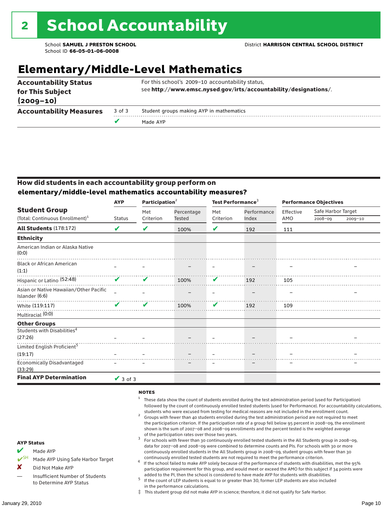# **Elementary/Middle-Level Mathematics**

| <b>Accountability Status</b><br>for This Subject |        | For this school's 2009-10 accountability status,<br>see http://www.emsc.nysed.gov/irts/accountability/designations/. |
|--------------------------------------------------|--------|----------------------------------------------------------------------------------------------------------------------|
| $(2009 - 10)$                                    |        |                                                                                                                      |
| <b>Accountability Measures</b>                   | 3 of 3 | Student groups making AYP in mathematics                                                                             |
|                                                  | v      | Made AYP                                                                                                             |

#### How did students in each accountability group perform on **elementary/middle-level mathematics accountability measures?**

|                                                          | <b>AYP</b>    | Participation <sup>2</sup> |               | Test Performance <sup>3</sup> |             | <b>Performance Objectives</b> |                    |         |
|----------------------------------------------------------|---------------|----------------------------|---------------|-------------------------------|-------------|-------------------------------|--------------------|---------|
| <b>Student Group</b>                                     |               | Met                        | Percentage    | Met                           | Performance | Effective                     | Safe Harbor Target |         |
| (Total: Continuous Enrollment) <sup>1</sup>              | <b>Status</b> | Criterion                  | <b>Tested</b> | Criterion                     | Index       | AMO                           | 2008-09            | 2009-10 |
| <b>All Students (178:172)</b>                            | V             | V                          | 100%          | V                             | 192         | 111                           |                    |         |
| <b>Ethnicity</b>                                         |               |                            |               |                               |             |                               |                    |         |
| American Indian or Alaska Native<br>(0:0)                |               |                            |               |                               |             |                               |                    |         |
| <b>Black or African American</b><br>(1:1)                |               |                            |               |                               |             |                               |                    |         |
| Hispanic or Latino (52:48)                               | ✔             | V                          | 100%          | V                             | 192         | 105                           |                    |         |
| Asian or Native Hawaiian/Other Pacific<br>Islander (6:6) |               |                            |               |                               |             |                               |                    |         |
| White (119:117)                                          |               | ✔                          | 100%          | V                             | 192         | 109                           |                    |         |
| Multiracial (0:0)                                        |               |                            |               |                               |             |                               |                    |         |
| <b>Other Groups</b>                                      |               |                            |               |                               |             |                               |                    |         |
| Students with Disabilities <sup>4</sup><br>(27:26)       |               |                            |               |                               |             |                               |                    |         |
| Limited English Proficient <sup>5</sup>                  |               |                            |               |                               |             |                               |                    |         |
| (19:17)                                                  |               |                            |               |                               |             |                               |                    |         |
| <b>Economically Disadvantaged</b><br>(33:29)             |               |                            |               |                               |             |                               |                    |         |
| <b>Final AYP Determination</b>                           | $\vee$ 3 of 3 |                            |               |                               |             |                               |                    |         |

#### **NOTES**

- $1$  These data show the count of students enrolled during the test administration period (used for Participation) followed by the count of continuously enrolled tested students (used for Performance). For accountability calculations,
- students who were excused from testing for medical reasons are not included in the enrollment count. <sup>2</sup> Groups with fewer than 40 students enrolled during the test administration period are not required to meet the participation criterion. If the participation rate of a group fell below 95 percent in 2008–09, the enrollment shown is the sum of 2007–08 and 2008–09 enrollments and the percent tested is the weighted average
- of the participation rates over those two years.<br><sup>3</sup> For schools with fewer than 30 continuously enrolled tested students in the All Students group in 2008–09, data for 2007–08 and 2008–09 were combined to determine counts and PIs. For schools with 30 or more continuously enrolled students in the All Students group in 2008–09, student groups with fewer than 30
- continuously enrolled tested students are not required to meet the performance criterion. <sup>4</sup> If the school failed to make AYP solely because of the performance of students with disabilities, met the 95% participation requirement for this group, and would meet or exceed the AMO for this subject if 34 points were added to the PI, then the school is considered to have made AYP for students with disabilities.
- $5$  If the count of LEP students is equal to or greater than 30, former LEP students are also included in the performance calculations.
- ‡ This student group did not make AYP in science; therefore, it did not qualify for Safe Harbor.

AYP Status Made AYP

X Did Not Make AYP

Made AYP Using Safe Harbor Target

### January 29, 2010 Page 10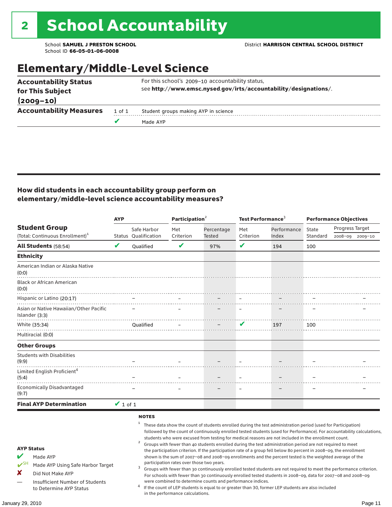### Elementary/Middle-Level Science

|                                                 | v      | Made AYP                                                         |  |  |  |  |  |
|-------------------------------------------------|--------|------------------------------------------------------------------|--|--|--|--|--|
| $(2009 - 10)$<br><b>Accountability Measures</b> | 1 of 1 | Student groups making AYP in science                             |  |  |  |  |  |
|                                                 |        |                                                                  |  |  |  |  |  |
| for This Subject                                |        | see http://www.emsc.nysed.gov/irts/accountability/designations/. |  |  |  |  |  |
| <b>Accountability Status</b>                    |        | For this school's 2009-10 accountability status,                 |  |  |  |  |  |

#### How did students in each accountability group perform on elementary/middle-level science accountability measures?

|                                                                                                                                                                                   | <b>AYP</b>    |                                        | Participation <sup>2</sup>                                                    |                                                            | Test Performance $3$     |                                                                                                                                                                                                                                                                                                                                                                                                                                                                                                                                                                                                                                                                              | <b>Performance Objectives</b> |                                                                                                                                                                                                                                                                                                                                                                 |  |
|-----------------------------------------------------------------------------------------------------------------------------------------------------------------------------------|---------------|----------------------------------------|-------------------------------------------------------------------------------|------------------------------------------------------------|--------------------------|------------------------------------------------------------------------------------------------------------------------------------------------------------------------------------------------------------------------------------------------------------------------------------------------------------------------------------------------------------------------------------------------------------------------------------------------------------------------------------------------------------------------------------------------------------------------------------------------------------------------------------------------------------------------------|-------------------------------|-----------------------------------------------------------------------------------------------------------------------------------------------------------------------------------------------------------------------------------------------------------------------------------------------------------------------------------------------------------------|--|
| <b>Student Group</b>                                                                                                                                                              |               | Safe Harbor                            | Met                                                                           | Percentage                                                 | Met                      | Performance                                                                                                                                                                                                                                                                                                                                                                                                                                                                                                                                                                                                                                                                  | State                         | Progress Target                                                                                                                                                                                                                                                                                                                                                 |  |
| (Total: Continuous Enrollment) <sup>1</sup>                                                                                                                                       |               | Status Qualification                   | Criterion                                                                     | Tested                                                     | Criterion                | Index                                                                                                                                                                                                                                                                                                                                                                                                                                                                                                                                                                                                                                                                        | Standard                      | 2008-09<br>2009-10                                                                                                                                                                                                                                                                                                                                              |  |
| <b>All Students (58:54)</b>                                                                                                                                                       | V             | Oualified                              | V                                                                             | 97%                                                        | $\mathbf v$              | 194                                                                                                                                                                                                                                                                                                                                                                                                                                                                                                                                                                                                                                                                          | 100                           |                                                                                                                                                                                                                                                                                                                                                                 |  |
| <b>Ethnicity</b>                                                                                                                                                                  |               |                                        |                                                                               |                                                            |                          |                                                                                                                                                                                                                                                                                                                                                                                                                                                                                                                                                                                                                                                                              |                               |                                                                                                                                                                                                                                                                                                                                                                 |  |
| American Indian or Alaska Native<br>(0:0)                                                                                                                                         |               |                                        |                                                                               |                                                            |                          |                                                                                                                                                                                                                                                                                                                                                                                                                                                                                                                                                                                                                                                                              |                               |                                                                                                                                                                                                                                                                                                                                                                 |  |
| <b>Black or African American</b><br>(0:0)                                                                                                                                         |               |                                        |                                                                               |                                                            |                          |                                                                                                                                                                                                                                                                                                                                                                                                                                                                                                                                                                                                                                                                              |                               |                                                                                                                                                                                                                                                                                                                                                                 |  |
| Hispanic or Latino (20:17)                                                                                                                                                        |               |                                        |                                                                               |                                                            |                          |                                                                                                                                                                                                                                                                                                                                                                                                                                                                                                                                                                                                                                                                              |                               |                                                                                                                                                                                                                                                                                                                                                                 |  |
| Asian or Native Hawaiian/Other Pacific<br>Islander (3:3)                                                                                                                          |               |                                        |                                                                               |                                                            |                          |                                                                                                                                                                                                                                                                                                                                                                                                                                                                                                                                                                                                                                                                              |                               |                                                                                                                                                                                                                                                                                                                                                                 |  |
| White (35:34)                                                                                                                                                                     |               | <b>Oualified</b>                       |                                                                               |                                                            | V                        | 197                                                                                                                                                                                                                                                                                                                                                                                                                                                                                                                                                                                                                                                                          | 100                           |                                                                                                                                                                                                                                                                                                                                                                 |  |
| Multiracial (0:0)                                                                                                                                                                 |               |                                        |                                                                               |                                                            |                          |                                                                                                                                                                                                                                                                                                                                                                                                                                                                                                                                                                                                                                                                              |                               |                                                                                                                                                                                                                                                                                                                                                                 |  |
| <b>Other Groups</b>                                                                                                                                                               |               |                                        |                                                                               |                                                            |                          |                                                                                                                                                                                                                                                                                                                                                                                                                                                                                                                                                                                                                                                                              |                               |                                                                                                                                                                                                                                                                                                                                                                 |  |
| <b>Students with Disabilities</b><br>(9:9)                                                                                                                                        |               |                                        |                                                                               |                                                            |                          |                                                                                                                                                                                                                                                                                                                                                                                                                                                                                                                                                                                                                                                                              |                               |                                                                                                                                                                                                                                                                                                                                                                 |  |
| Limited English Proficient <sup>4</sup><br>(5:4)                                                                                                                                  |               |                                        |                                                                               |                                                            |                          |                                                                                                                                                                                                                                                                                                                                                                                                                                                                                                                                                                                                                                                                              |                               |                                                                                                                                                                                                                                                                                                                                                                 |  |
| <b>Economically Disadvantaged</b><br>(9:7)                                                                                                                                        |               |                                        |                                                                               |                                                            | $\overline{\phantom{0}}$ |                                                                                                                                                                                                                                                                                                                                                                                                                                                                                                                                                                                                                                                                              |                               |                                                                                                                                                                                                                                                                                                                                                                 |  |
| <b>Final AYP Determination</b>                                                                                                                                                    | $\vee$ 1 of 1 |                                        |                                                                               |                                                            |                          |                                                                                                                                                                                                                                                                                                                                                                                                                                                                                                                                                                                                                                                                              |                               |                                                                                                                                                                                                                                                                                                                                                                 |  |
| <b>AYP Status</b><br>V<br>Made AYP<br>$V^{\text{SH}}$<br>Made AYP Using Safe Harbor Target<br>x<br>Did Not Make AYP<br>Insufficient Number of Students<br>to Determine AYP Status |               | <b>NOTES</b><br>$\mathbf{1}$<br>2<br>3 | participation rates over those two years.<br>in the performance calculations. | were combined to determine counts and performance indices. |                          | These data show the count of students enrolled during the test administration period (used for Participation)<br>students who were excused from testing for medical reasons are not included in the enrollment count.<br>Groups with fewer than 40 students enrolled during the test administration period are not required to meet<br>the participation criterion. If the participation rate of a group fell below 80 percent in 2008-09, the enrollment<br>shown is the sum of 2007-08 and 2008-09 enrollments and the percent tested is the weighted average of the<br>If the count of LEP students is equal to or greater than 30, former LEP students are also included |                               | followed by the count of continuously enrolled tested students (used for Performance). For accountability calculations,<br>Groups with fewer than 30 continuously enrolled tested students are not required to meet the performance criterion.<br>For schools with fewer than 30 continuously enrolled tested students in 2008-09, data for 2007-08 and 2008-09 |  |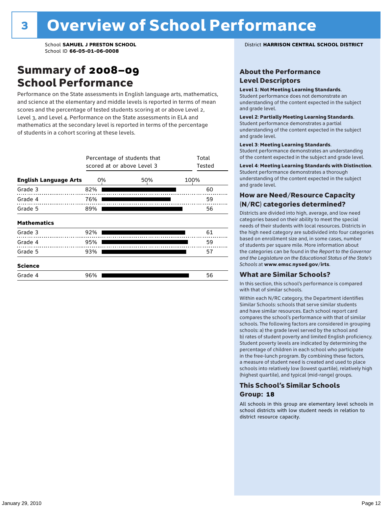### Summary of 2008–09 School Performance

Performance on the State assessments in English language arts, mathematics, and science at the elementary and middle levels is reported in terms of mean scores and the percentage of tested students scoring at or above Level 2, Level 3, and Level 4. Performance on the State assessments in ELA and mathematics at the secondary level is reported in terms of the percentage of students in a cohort scoring at these levels.

|                              | Percentage of students that<br>scored at or above Level 3 | Total<br>Tested |      |
|------------------------------|-----------------------------------------------------------|-----------------|------|
| <b>English Language Arts</b> | 0%                                                        | 50%             | 100% |
| Grade 3                      | 82%                                                       |                 | 60   |
| Grade 4                      | 76%                                                       |                 | 59   |
| Grade 5                      | 89%                                                       |                 | 56   |
| <b>Mathematics</b>           |                                                           |                 |      |
| Grade 3                      | 92%                                                       |                 | 61   |
| Grade 4                      | 95%                                                       |                 | 59   |
| Grade 5                      | 93%                                                       |                 | 57   |
| <b>Science</b>               |                                                           |                 |      |
| Grade 4                      | 96%                                                       |                 | 56   |

School **SAMUEL J PRESTON SCHOOL** District **HARRISON CENTRAL SCHOOL DISTRICT**

#### About the Performance Level Descriptors

#### Level 1: Not Meeting Learning Standards.

Student performance does not demonstrate an understanding of the content expected in the subject and grade level.

#### Level 2: Partially Meeting Learning Standards.

Student performance demonstrates a partial understanding of the content expected in the subject and grade level.

#### Level 3: Meeting Learning Standards.

Student performance demonstrates an understanding of the content expected in the subject and grade level.

#### Level 4: Meeting Learning Standards with Distinction.

Student performance demonstrates a thorough understanding of the content expected in the subject and grade level.

#### How are Need/Resource Capacity (N/RC) categories determined?

Districts are divided into high, average, and low need categories based on their ability to meet the special needs of their students with local resources. Districts in the high need category are subdivided into four categories based on enrollment size and, in some cases, number of students per square mile. More information about the categories can be found in the *Report to the Governor and the Legislature on the Educational Status of the State's Schools* at www.emsc.nysed.gov/irts.

#### What are Similar Schools?

In this section, this school's performance is compared with that of similar schools.

Within each N/RC category, the Department identifies Similar Schools: schools that serve similar students and have similar resources. Each school report card compares the school's performance with that of similar schools. The following factors are considered in grouping schools: a) the grade level served by the school and b) rates of student poverty and limited English proficiency. Student poverty levels are indicated by determining the percentage of children in each school who participate in the free-lunch program. By combining these factors, a measure of student need is created and used to place schools into relatively low (lowest quartile), relatively high (highest quartile), and typical (mid-range) groups.

#### This School's Similar Schools Group: **18**

All schools in this group are elementary level schools in school districts with low student needs in relation to district resource capacity.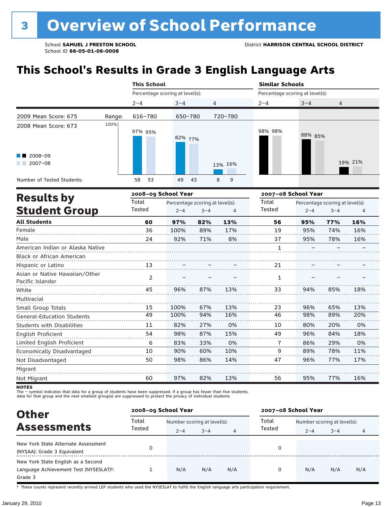# **This School's Results in Grade 3 English Language Arts**

|                                                    |        | <b>This School</b>              |          |                | <b>Similar Schools</b>          |         |         |
|----------------------------------------------------|--------|---------------------------------|----------|----------------|---------------------------------|---------|---------|
|                                                    |        | Percentage scoring at level(s): |          |                | Percentage scoring at level(s): |         |         |
|                                                    |        | $2 - 4$                         | $3 - 4$  | $\overline{4}$ | $2 - 4$                         | $3 - 4$ | 4       |
| 2009 Mean Score: 675                               | Range: | 616-780                         | 650-780  | 720-780        |                                 |         |         |
| 2008 Mean Score: 673<br>$2008 - 09$<br>$2007 - 08$ | 100%   | 97% 95%                         | 82% 77%  | 13% 16%        | 98% 98%                         | 88% 85% | 19% 21% |
| Number of Tested Students:                         |        | 53<br>58                        | 49<br>43 | 8<br>9         |                                 |         |         |
|                                                    |        |                                 |          |                |                                 |         |         |

|                                                    |                | 2008-09 School Year |                                 |     | 2007-08 School Year |         |                                 |     |
|----------------------------------------------------|----------------|---------------------|---------------------------------|-----|---------------------|---------|---------------------------------|-----|
| <b>Results by</b>                                  | Total          |                     | Percentage scoring at level(s): |     | Total               |         | Percentage scoring at level(s): |     |
| <b>Student Group</b>                               | Tested         | $2 - 4$             | $3 - 4$                         | 4   | Tested              | $2 - 4$ | $3 - 4$                         | 4   |
| <b>All Students</b>                                | 60             | 97%                 | 82%                             | 13% | 56                  | 95%     | 77%                             | 16% |
| Female                                             | 36             | 100%                | 89%                             | 17% | 19                  | 95%     | 74%                             | 16% |
| Male                                               | 24             | 92%                 | 71%                             | 8%  | 37                  | 95%     | 78%                             | 16% |
| American Indian or Alaska Native                   |                |                     |                                 |     | $\mathbf{1}$        |         |                                 |     |
| <b>Black or African American</b>                   |                |                     |                                 |     |                     |         |                                 |     |
| Hispanic or Latino                                 | 13             |                     |                                 |     | 21                  |         |                                 |     |
| Asian or Native Hawaiian/Other<br>Pacific Islander | $\overline{2}$ |                     |                                 |     | 1                   |         |                                 |     |
| White                                              | 45             | 96%                 | 87%                             | 13% | 33                  | 94%     | 85%                             | 18% |
| Multiracial                                        |                |                     |                                 |     |                     |         |                                 |     |
| Small Group Totals                                 | 15             | 100%                | 67%                             | 13% | 23                  | 96%     | 65%                             | 13% |
| <b>General-Education Students</b>                  | 49             | 100%                | 94%                             | 16% | 46                  | 98%     | 89%                             | 20% |
| <b>Students with Disabilities</b>                  | 11             | 82%                 | 27%                             | 0%  | 10                  | 80%     | 20%                             | 0%  |
| English Proficient                                 | 54             | 98%                 | 87%                             | 15% | 49                  | 96%     | 84%                             | 18% |
| Limited English Proficient                         | 6              | 83%                 | 33%                             | 0%  | 7                   | 86%     | 29%                             | 0%  |
| Economically Disadvantaged                         | 10             | 90%                 | 60%                             | 10% | 9                   | 89%     | 78%                             | 11% |
| Not Disadvantaged                                  | 50             | 98%                 | 86%                             | 14% | 47                  | 96%     | 77%                             | 17% |
| Migrant                                            |                |                     |                                 |     |                     |         |                                 |     |
| Not Migrant                                        | 60             | 97%                 | 82%                             | 13% | 56                  | 95%     | 77%                             | 16% |

**NOTES** 

The – symbol indicates that data for a group of students have been suppressed. If a group has fewer than five students,<br>data for that group and the next smallest group(s) are suppressed to protect the privacy of individual

| <b>Other</b>                                                                                         |        | 2008-09 School Year |                             |     | 2007-08 School Year |                             |         |     |
|------------------------------------------------------------------------------------------------------|--------|---------------------|-----------------------------|-----|---------------------|-----------------------------|---------|-----|
| <b>Assessments</b>                                                                                   | Total  |                     | Number scoring at level(s): |     |                     | Number scoring at level(s): |         |     |
|                                                                                                      | Tested | $2 - 4$             | $3 - 4$                     | 4   | Tested              | $2 - 4$                     | $3 - 4$ | 4   |
| New York State Alternate Assessment<br>(NYSAA): Grade 3 Equivalent                                   |        |                     |                             |     | 0                   |                             |         |     |
| New York State English as a Second<br>Language Achievement Test (NYSESLAT) <sup>+</sup> :<br>Grade 3 |        | N/A                 | N/A                         | N/A | 0                   | N/A                         | N/A     | N/A |

† These counts represent recently arrived LEP students who used the NYSESLAT to fulfill the English language arts participation requirement.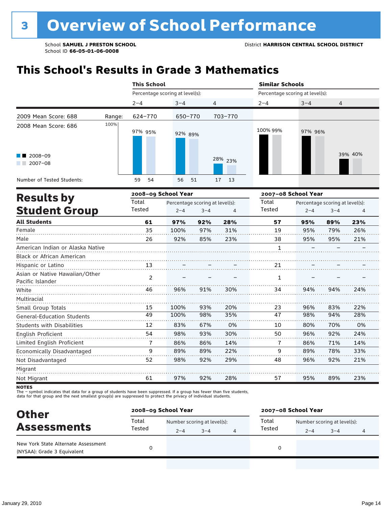# **This School's Results in Grade 3 Mathematics**

|                                               |        | <b>This School</b>              |          |         | <b>Similar Schools</b>          |         |         |  |  |
|-----------------------------------------------|--------|---------------------------------|----------|---------|---------------------------------|---------|---------|--|--|
|                                               |        | Percentage scoring at level(s): |          |         | Percentage scoring at level(s): |         |         |  |  |
|                                               |        | $2 - 4$                         | $3 - 4$  | 4       | $2 - 4$                         | $3 - 4$ | 4       |  |  |
| 2009 Mean Score: 688                          | Range: | 624-770                         | 650-770  | 703-770 |                                 |         |         |  |  |
| 2008 Mean Score: 686                          | 100%   | 97% 95%                         | 92% 89%  |         | 100% 99%                        | 97% 96% |         |  |  |
| $\blacksquare$ 2008-09<br>$2007 - 08$<br>a ka |        |                                 |          | 28% 23% |                                 |         | 39% 40% |  |  |
| Number of Tested Students:                    |        | 54<br>59                        | 56<br>51 | 17 13   |                                 |         |         |  |  |

|                                                    |                | 2008-09 School Year |                                 |     | 2007-08 School Year |         |                                 |     |
|----------------------------------------------------|----------------|---------------------|---------------------------------|-----|---------------------|---------|---------------------------------|-----|
| <b>Results by</b>                                  | Total          |                     | Percentage scoring at level(s): |     | Total               |         | Percentage scoring at level(s): |     |
| <b>Student Group</b>                               | Tested         | $2 - 4$             | $3 - 4$                         | 4   | Tested              | $2 - 4$ | $3 - 4$                         | 4   |
| <b>All Students</b>                                | 61             | 97%                 | 92%                             | 28% | 57                  | 95%     | 89%                             | 23% |
| Female                                             | 35             | 100%                | 97%                             | 31% | 19                  | 95%     | 79%                             | 26% |
| Male                                               | 26             | 92%                 | 85%                             | 23% | 38                  | 95%     | 95%                             | 21% |
| American Indian or Alaska Native                   |                |                     |                                 |     | $\mathbf{1}$        |         |                                 |     |
| Black or African American                          |                |                     |                                 |     |                     |         |                                 |     |
| Hispanic or Latino                                 | 13             |                     |                                 |     | 21                  |         |                                 |     |
| Asian or Native Hawaiian/Other<br>Pacific Islander | $\overline{2}$ |                     |                                 |     | 1                   |         |                                 |     |
| White                                              | 46             | 96%                 | 91%                             | 30% | 34                  | 94%     | 94%                             | 24% |
| Multiracial                                        |                |                     |                                 |     |                     |         |                                 |     |
| Small Group Totals                                 | 15             | 100%                | 93%                             | 20% | 23                  | 96%     | 83%                             | 22% |
| <b>General-Education Students</b>                  | 49             | 100%                | 98%                             | 35% | 47                  | 98%     | 94%                             | 28% |
| <b>Students with Disabilities</b>                  | 12             | 83%                 | 67%                             | 0%  | 10                  | 80%     | 70%                             | 0%  |
| English Proficient                                 | 54             | 98%                 | 93%                             | 30% | 50                  | 96%     | 92%                             | 24% |
| Limited English Proficient                         | 7              | 86%                 | 86%                             | 14% | 7                   | 86%     | 71%                             | 14% |
| Economically Disadvantaged                         | 9              | 89%                 | 89%                             | 22% | 9                   | 89%     | 78%                             | 33% |
| Not Disadvantaged                                  | 52             | 98%                 | 92%                             | 29% | 48                  | 96%     | 92%                             | 21% |
| Migrant                                            |                |                     |                                 |     |                     |         |                                 |     |
| Not Migrant                                        | 61             | 97%                 | 92%                             | 28% | 57                  | 95%     | 89%                             | 23% |

**NOTES** 

| <b>Other</b><br><b>Assessments</b>                                 | 2008-09 School Year |         |                             |  | 2007-08 School Year |                             |         |   |  |
|--------------------------------------------------------------------|---------------------|---------|-----------------------------|--|---------------------|-----------------------------|---------|---|--|
|                                                                    | Total<br>Tested     |         | Number scoring at level(s): |  |                     | Number scoring at level(s): |         |   |  |
|                                                                    |                     | $2 - 4$ | $3 - 4$                     |  | Tested              | $2 - 4$                     | $3 - 4$ | 4 |  |
| New York State Alternate Assessment<br>(NYSAA): Grade 3 Equivalent |                     |         |                             |  |                     |                             |         |   |  |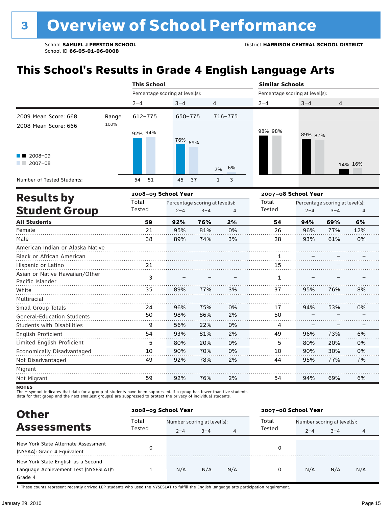# **This School's Results in Grade 4 English Language Arts**

|                                             |        | <b>This School</b>              |         |                                                 |          | <b>Similar Schools</b> |                                                            |     |         |  |  |
|---------------------------------------------|--------|---------------------------------|---------|-------------------------------------------------|----------|------------------------|------------------------------------------------------------|-----|---------|--|--|
| 2008-09<br>$2007 - 08$<br><b>Results by</b> |        | Percentage scoring at level(s): |         |                                                 |          |                        | Percentage scoring at level(s):                            |     |         |  |  |
|                                             |        | $2 - 4$                         | $3 - 4$ |                                                 | 4        | $2 - 4$                | $3 - 4$                                                    | 4   |         |  |  |
| 2009 Mean Score: 668                        | Range: | 612-775                         | 650-775 |                                                 | 716-775  |                        |                                                            |     |         |  |  |
| 2008 Mean Score: 666                        | 100%   | 92% 94%                         | 76% 69% |                                                 | 6%<br>2% | 98% 98%                | 89% 87%                                                    |     | 14% 16% |  |  |
| Number of Tested Students:                  |        | 54<br>51                        | 45      | 37                                              | 3<br>1   |                        |                                                            |     |         |  |  |
|                                             |        | 2008-09 School Year             |         |                                                 |          |                        | 2007-08 School Year                                        |     |         |  |  |
| <b>Student Group</b>                        |        | Total<br>Tested                 | $2 - 4$ | Percentage scoring at level(s):<br>$3 - 4$<br>4 |          |                        | Percentage scoring at level(s):<br>$2 - 4$<br>$3 - 4$<br>4 |     |         |  |  |
| <b>All Students</b>                         |        | 59                              | 92%     | 76%                                             | 2%       | 54                     | 94%                                                        | 69% | 6%      |  |  |
| Female                                      |        | 21                              | 95%     | 81%                                             | 0%       | 26                     | 96%                                                        | 77% | 12%     |  |  |

| Male                              | 38 | 89% | 74% | 3% | 28 | 93% | 61% | 0% |
|-----------------------------------|----|-----|-----|----|----|-----|-----|----|
| American Indian or Alaska Native  |    |     |     |    |    |     |     |    |
| <b>Black or African American</b>  |    |     |     |    |    |     |     |    |
| Hispanic or Latino                | 21 |     |     |    | 15 |     |     |    |
| Asian or Native Hawaiian/Other    | 3  |     |     |    |    |     |     |    |
| Pacific Islander                  |    |     |     |    | 1  |     |     |    |
| White                             | 35 | 89% | 77% | 3% | 37 | 95% | 76% | 8% |
| Multiracial                       |    |     |     |    |    |     |     |    |
| Small Group Totals                | 24 | 96% | 75% | 0% | 17 | 94% | 53% | 0% |
| <b>General-Education Students</b> | 50 | 98% | 86% | 2% | 50 |     |     |    |
| <b>Students with Disabilities</b> | 9  | 56% | 22% | 0% | 4  |     |     |    |
| English Proficient                | 54 | 93% | 81% | 2% | 49 | 96% | 73% | 6% |
| Limited English Proficient        | 5  | 80% | 20% | 0% | 5  | 80% | 20% | 0% |
| Economically Disadvantaged        | 10 | 90% | 70% | 0% | 10 | 90% | 30% | 0% |
| Not Disadvantaged                 | 49 | 92% | 78% | 2% | 44 | 95% | 77% | 7% |
| Migrant                           |    |     |     |    |    |     |     |    |
| Not Migrant                       | 59 | 92% | 76% | 2% | 54 | 94% | 69% | 6% |

**NOTES** 

The – symbol indicates that data for a group of students have been suppressed. If a group has fewer than five students,<br>data for that group and the next smallest group(s) are suppressed to protect the privacy of individual

| <b>Other</b>                                                                                         |        | 2008-09 School Year         |         |     | 2007-08 School Year |                             |         |     |  |
|------------------------------------------------------------------------------------------------------|--------|-----------------------------|---------|-----|---------------------|-----------------------------|---------|-----|--|
|                                                                                                      | Total  | Number scoring at level(s): |         |     | Total               | Number scoring at level(s): |         |     |  |
| <b>Assessments</b>                                                                                   | Tested | $2 - 4$                     | $3 - 4$ | 4   | Tested              | $2 - 4$                     | $3 - 4$ | 4   |  |
| New York State Alternate Assessment<br>(NYSAA): Grade 4 Equivalent                                   |        |                             |         |     |                     |                             |         |     |  |
| New York State English as a Second<br>Language Achievement Test (NYSESLAT) <sup>+</sup> :<br>Grade 4 |        | N/A                         | N/A     | N/A | 0                   | N/A                         | N/A     | N/A |  |

† These counts represent recently arrived LEP students who used the NYSESLAT to fulfill the English language arts participation requirement.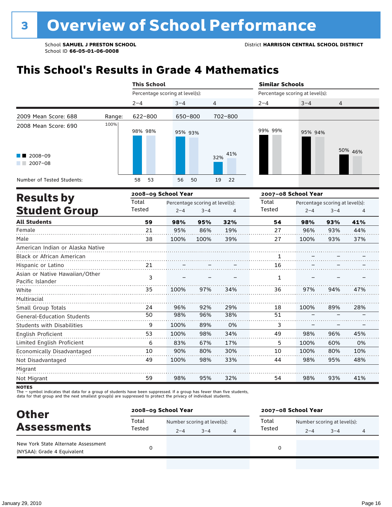# **This School's Results in Grade 4 Mathematics**

|                                                                       |                     | <b>This School</b>              |          |            |                     | <b>Similar Schools</b>          |         |  |  |  |
|-----------------------------------------------------------------------|---------------------|---------------------------------|----------|------------|---------------------|---------------------------------|---------|--|--|--|
|                                                                       |                     | Percentage scoring at level(s): |          |            |                     | Percentage scoring at level(s): |         |  |  |  |
|                                                                       |                     | $2 - 4$                         | $3 - 4$  | 4          | $2 - 4$             | $3 - 4$                         | 4       |  |  |  |
| 2009 Mean Score: 688                                                  | Range:              | 622-800                         | 650-800  | 702-800    |                     |                                 |         |  |  |  |
| 2008 Mean Score: 690<br>$\blacksquare$ 2008-09<br>$2007 - 08$<br>a ka | 100%                | 98% 98%                         | 95% 93%  | 41%<br>32% | 99% 99%             | 95% 94%                         | 50% 46% |  |  |  |
| Number of Tested Students:                                            |                     | 58<br>53                        | 56<br>50 | 19<br>22   |                     |                                 |         |  |  |  |
| <b>Doculte by</b>                                                     | 2008-09 School Year |                                 |          |            | 2007-08 School Year |                                 |         |  |  |  |

|        |         |         |                     |                                 | 2007–08 School Year |     |     |                                 |  |
|--------|---------|---------|---------------------|---------------------------------|---------------------|-----|-----|---------------------------------|--|
| Total  |         |         |                     | Total                           |                     |     |     |                                 |  |
| Tested | $2 - 4$ | $3 - 4$ | 4                   | Tested                          | $2 - 4$<br>$3 - 4$  |     | 4   |                                 |  |
| 59     | 98%     | 95%     | 32%                 | 54                              | 98%                 | 93% | 41% |                                 |  |
| 21     | 95%     | 86%     | 19%                 | 27                              | 96%                 | 93% | 44% |                                 |  |
| 38     | 100%    | 100%    | 39%                 | 27                              | 100%                | 93% | 37% |                                 |  |
|        |         |         |                     |                                 |                     |     |     |                                 |  |
|        |         |         |                     | 1                               |                     |     |     |                                 |  |
| 21     |         |         |                     | 16                              |                     |     |     |                                 |  |
|        |         |         |                     |                                 |                     |     |     |                                 |  |
|        |         |         |                     |                                 |                     |     |     |                                 |  |
| 35     | 100%    | 97%     | 34%                 | 36                              | 97%                 | 94% | 47% |                                 |  |
|        |         |         |                     |                                 |                     |     |     |                                 |  |
| 24     | 96%     | 92%     | 29%                 | 18                              | 100%                | 89% | 28% |                                 |  |
| 50     | 98%     | 96%     | 38%                 | 51                              |                     |     |     |                                 |  |
| 9      | 100%    | 89%     | 0%                  | 3                               |                     |     |     |                                 |  |
| 53     | 100%    | 98%     | 34%                 | 49                              | 98%                 | 96% | 45% |                                 |  |
| 6      | 83%     | 67%     | 17%                 | 5                               | 100%                | 60% | 0%  |                                 |  |
| 10     | 90%     | 80%     | 30%                 | 10                              | 100%                | 80% | 10% |                                 |  |
| 49     | 100%    | 98%     | 33%                 | 44                              | 98%                 | 95% | 48% |                                 |  |
|        |         |         |                     |                                 |                     |     |     |                                 |  |
| 59     | 98%     | 95%     | 32%                 | 54                              | 98%                 | 93% | 41% |                                 |  |
|        | 3       |         | 2008–09 School Year | Percentage scoring at level(s): | 1                   |     |     | Percentage scoring at level(s): |  |

**NOTES** 

| <b>Other</b>                                                       |                 | 2008-09 School Year |                                      |   | 2007-08 School Year |                             |         |   |  |
|--------------------------------------------------------------------|-----------------|---------------------|--------------------------------------|---|---------------------|-----------------------------|---------|---|--|
| <b>Assessments</b>                                                 | Total<br>Tested |                     | Total<br>Number scoring at level(s): |   |                     | Number scoring at level(s): |         |   |  |
|                                                                    |                 | $2 - 4$             | $3 - 4$                              | 4 | Tested              | $2 - 4$                     | $3 - 4$ | 4 |  |
| New York State Alternate Assessment<br>(NYSAA): Grade 4 Equivalent |                 |                     |                                      |   | 0                   |                             |         |   |  |
|                                                                    |                 |                     |                                      |   |                     |                             |         |   |  |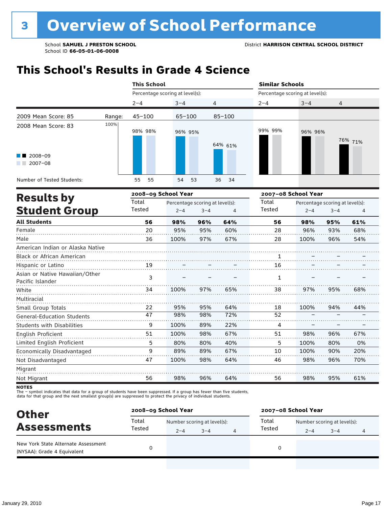### **This School's Results in Grade 4 Science**

|                                                              |        | <b>This School</b>  |                                 |            |         | <b>Similar Schools</b>          |         |  |  |  |
|--------------------------------------------------------------|--------|---------------------|---------------------------------|------------|---------|---------------------------------|---------|--|--|--|
|                                                              |        |                     | Percentage scoring at level(s): |            |         | Percentage scoring at level(s): |         |  |  |  |
|                                                              |        | $2 - 4$             | $3 - 4$                         | 4          | $2 - 4$ | $3 - 4$                         | 4       |  |  |  |
| 2009 Mean Score: 85                                          | Range: | $45 - 100$          | $65 - 100$                      | $85 - 100$ |         |                                 |         |  |  |  |
| 2008 Mean Score: 83<br>$\blacksquare$ 2008-09<br>$2007 - 08$ | 100%   | 98% 98%             | 96% 95%                         | 64% 61%    | 99% 99% | 96% 96%                         | 76% 71% |  |  |  |
| Number of Tested Students:                                   |        | 55<br>55            | 54 53                           | 36<br>- 34 |         |                                 |         |  |  |  |
|                                                              |        | 2008-09 School Year |                                 |            |         | 2007-08 School Year             |         |  |  |  |
| <b>Results by</b>                                            |        | Total               | Percentage scoring at level(s). |            | Total   | Percentage scoring at level(s). |         |  |  |  |

| <b>Results by</b>                                  | Total  |         | Percentage scoring at level(s): |     | Total<br>Percentage scoring at level(s): |         |         |     |
|----------------------------------------------------|--------|---------|---------------------------------|-----|------------------------------------------|---------|---------|-----|
| <b>Student Group</b>                               | Tested | $2 - 4$ | $3 - 4$                         | 4   | Tested                                   | $2 - 4$ | $3 - 4$ | 4   |
| <b>All Students</b>                                | 56     | 98%     | 96%                             | 64% | 56                                       | 98%     | 95%     | 61% |
| Female                                             | 20     | 95%     | 95%                             | 60% | 28                                       | 96%     | 93%     | 68% |
| Male                                               | 36     | 100%    | 97%                             | 67% | 28                                       | 100%    | 96%     | 54% |
| American Indian or Alaska Native                   |        |         |                                 |     |                                          |         |         |     |
| <b>Black or African American</b>                   |        |         |                                 |     |                                          |         |         |     |
| Hispanic or Latino                                 | 19     |         |                                 |     | 16                                       |         |         |     |
| Asian or Native Hawaiian/Other<br>Pacific Islander | 3      |         |                                 |     | 1                                        |         |         |     |
| White                                              | 34     | 100%    | 97%                             | 65% | 38                                       | 97%     | 95%     | 68% |
| Multiracial                                        |        |         |                                 |     |                                          |         |         |     |
| Small Group Totals                                 | 22     | 95%     | 95%                             | 64% | 18                                       | 100%    | 94%     | 44% |
| <b>General-Education Students</b>                  | 47     | 98%     | 98%                             | 72% | 52                                       |         |         |     |
| Students with Disabilities                         | 9      | 100%    | 89%                             | 22% | 4                                        |         |         |     |
| English Proficient                                 | 51     | 100%    | 98%                             | 67% | 51                                       | 98%     | 96%     | 67% |
| Limited English Proficient                         | 5      | 80%     | 80%                             | 40% | 5                                        | 100%    | 80%     | 0%  |
| Economically Disadvantaged                         | 9      | 89%     | 89%                             | 67% | 10                                       | 100%    | 90%     | 20% |
| Not Disadvantaged                                  | 47     | 100%    | 98%                             | 64% | 46                                       | 98%     | 96%     | 70% |
| Migrant                                            |        |         |                                 |     |                                          |         |         |     |
| Not Migrant                                        | 56     | 98%     | 96%                             | 64% | 56                                       | 98%     | 95%     | 61% |

**NOTES** 

| <b>Other</b>                                                       | 2008-09 School Year |                             |         |   | 2007-08 School Year |                             |         |   |
|--------------------------------------------------------------------|---------------------|-----------------------------|---------|---|---------------------|-----------------------------|---------|---|
| <b>Assessments</b>                                                 | Total<br>Tested     | Number scoring at level(s): |         |   | Total               | Number scoring at level(s): |         |   |
|                                                                    |                     | $2 - 4$                     | $3 - 4$ | 4 | Tested              | $2 - 4$                     | $3 - 4$ | 4 |
| New York State Alternate Assessment<br>(NYSAA): Grade 4 Equivalent |                     |                             |         |   | 0                   |                             |         |   |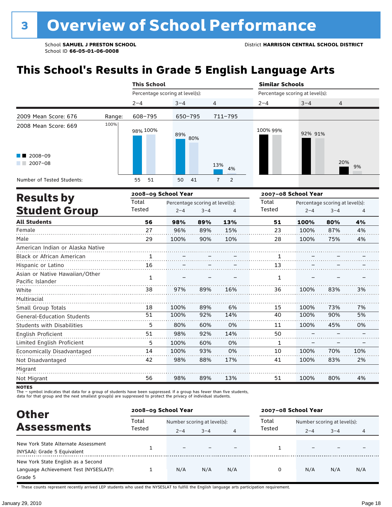# **This School's Results in Grade 5 English Language Arts**

|                                  |        | <b>This School</b>              |                                 |         |                     | <b>Similar Schools</b>          |                     |                                 |    |  |
|----------------------------------|--------|---------------------------------|---------------------------------|---------|---------------------|---------------------------------|---------------------|---------------------------------|----|--|
|                                  |        | Percentage scoring at level(s): |                                 |         |                     | Percentage scoring at level(s): |                     |                                 |    |  |
|                                  |        | $2 - 4$                         | $3 - 4$                         | 4       |                     | $2 - 4$                         | $3 - 4$             | 4                               |    |  |
| 2009 Mean Score: 676             | Range: | 608-795                         | 650-795                         |         | 711-795             |                                 |                     |                                 |    |  |
| 2008 Mean Score: 669             | 100%   | 98% 100%                        | 89%                             | 80%     |                     | 100% 99%                        | 92% 91%             |                                 |    |  |
| 2008-09                          |        |                                 |                                 |         |                     |                                 |                     |                                 |    |  |
| $2007 - 08$                      |        |                                 |                                 |         | 13%<br>4%           |                                 |                     | 20%                             | 9% |  |
| Number of Tested Students:       |        | 51<br>55                        | 50                              | 41      | 2<br>$\overline{7}$ |                                 |                     |                                 |    |  |
| <b>Results by</b>                |        | 2008-09 School Year             |                                 |         |                     |                                 | 2007-08 School Year |                                 |    |  |
|                                  |        | Total                           | Percentage scoring at level(s): |         |                     | Total                           |                     | Percentage scoring at level(s): |    |  |
| <b>Student Group</b>             |        | Tested                          | $2 - 4$                         | $3 - 4$ | 4                   | Tested                          | $2 - 4$             | $3 - 4$                         | 4  |  |
| <b>All Students</b>              |        | 56                              | 98%                             | 89%     | 13%                 | 51                              | 100%                | 80%                             | 4% |  |
| Female                           |        | 27                              | 96%                             | 89%     | 15%                 | 23                              | 100%                | 87%                             | 4% |  |
| Male                             |        | 29                              | 100%                            | 90%     | 10%                 | 28                              | 100%                | 75%                             | 4% |  |
| American Indian or Alaska Native |        |                                 |                                 |         |                     |                                 |                     |                                 |    |  |
| Black or African American        |        |                                 |                                 |         |                     |                                 |                     |                                 |    |  |
|                                  |        |                                 |                                 |         |                     |                                 |                     |                                 |    |  |

| Black or African American                          |    |      |     |     |    |      |     |     |
|----------------------------------------------------|----|------|-----|-----|----|------|-----|-----|
| Hispanic or Latino                                 | 16 |      |     |     | 13 |      |     |     |
| Asian or Native Hawaiian/Other<br>Pacific Islander |    |      |     |     |    |      |     |     |
| White                                              | 38 | 97%  | 89% | 16% | 36 | 100% | 83% | 3%  |
| Multiracial                                        |    |      |     |     |    |      |     |     |
| Small Group Totals                                 | 18 | 100% | 89% | 6%  | 15 | 100% | 73% | 7%  |
| <b>General-Education Students</b>                  | 51 | 100% | 92% | 14% | 40 | 100% | 90% | 5%  |
| <b>Students with Disabilities</b>                  | 5  | 80%  | 60% | 0%  | 11 | 100% | 45% | 0%  |
| <b>English Proficient</b>                          | 51 | 98%  | 92% | 14% | 50 |      |     |     |
| Limited English Proficient                         | 5  | 100% | 60% | 0%  |    |      |     |     |
| Economically Disadvantaged                         | 14 | 100% | 93% | 0%  | 10 | 100% | 70% | 10% |
| Not Disadvantaged                                  | 42 | 98%  | 88% | 17% | 41 | 100% | 83% | 2%  |
| Migrant                                            |    |      |     |     |    |      |     |     |
| Not Migrant                                        | 56 | 98%  | 89% | 13% | 51 | 100% | 80% | 4%  |

**NOTES** 

The – symbol indicates that data for a group of students have been suppressed. If a group has fewer than five students,<br>data for that group and the next smallest group(s) are suppressed to protect the privacy of individual

| <b>Other</b>                                                                            | 2008-09 School Year |                          |                             |     | 2007-08 School Year |                                      |         |     |
|-----------------------------------------------------------------------------------------|---------------------|--------------------------|-----------------------------|-----|---------------------|--------------------------------------|---------|-----|
|                                                                                         | Total<br>Tested     |                          | Number scoring at level(s): |     |                     | Total<br>Number scoring at level(s): |         |     |
| <b>Assessments</b>                                                                      |                     | $2 - 4$                  | $3 - 4$                     | 4   | Tested              | $2 - 4$                              | $3 - 4$ | 4   |
| New York State Alternate Assessment<br>(NYSAA): Grade 5 Equivalent                      |                     | $\overline{\phantom{0}}$ |                             |     |                     |                                      |         |     |
| New York State English as a Second<br>Language Achievement Test (NYSESLAT)t:<br>Grade 5 |                     | N/A                      | N/A                         | N/A | 0                   | N/A                                  | N/A     | N/A |

† These counts represent recently arrived LEP students who used the NYSESLAT to fulfill the English language arts participation requirement.